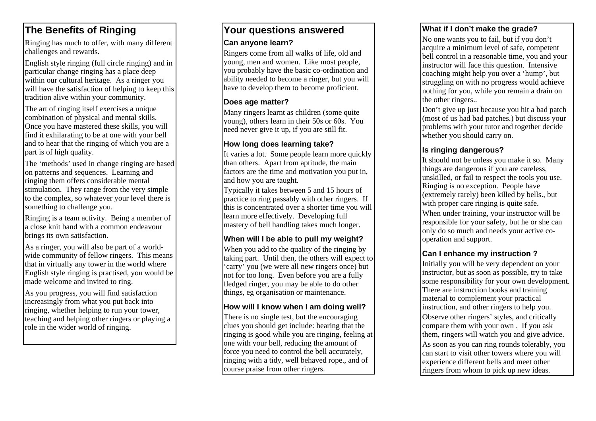# **The Benefits of Ringing**

Ringing has much to offer, with many different challenges and rewards.

English style ringing (full circle ringing) and in particular change ringing has a place deep within our cultural heritage. As a ringer you will have the satisfaction of helping to keep this tradition alive within your community.

The art of ringing itself exercises a unique combination of physical and mental skills. Once you have mastered these skills, you will find it exhilarating to be at one with your bell and to hear that the ringing of which you are a part is of high quality.

The 'methods' used in change ringing are based on patterns and sequences. Learning and ringing them offers considerable mental stimulation. They range from the very simple to the complex, so whatever your level there is something to challenge you.

Ringing is a team activity. Being a member of a close knit band with a common endeavour brings its own satisfaction.

As a ringer, you will also be part of a worldwide community of fellow ringers. This means that in virtually any tower in the world where English style ringing is practised, you would be made welcome and invited to ring.

As you progress, you will find satisfaction increasingly from what you put back into ringing, whether helping to run your tower, teaching and helping other ringers or playing a role in the wider world of ringing.

# **Your questions answered**

#### **Can anyone learn?**

Ringers come from all walks of life, old and young, men and women. Like most people, you probably have the basic co-ordination and ability needed to become a ringer, but you will have to develop them to become proficient.

#### **Does age matter?**

Many ringers learnt as children (some quite young), others learn in their 50s or 60s. You need never give it up, if you are still fit.

#### **How long does learning take?**

It varies a lot. Some people learn more quickly than others. Apart from aptitude, the main factors are the time and motivation you put in, and how you are taught.

Typically it takes between 5 and 15 hours of practice to ring passably with other ringers. If this is concentrated over a shorter time you will learn more effectively. Developing full mastery of bell handling takes much longer.

### **When will I be able to pull my weight?**

When you add to the quality of the ringing by taking part. Until then, the others will expect to 'carry' you (we were all new ringers once) but not for too long. Even before you are a fully fledged ringer, you may be able to do other things, eg organisation or maintenance.

### **How will I know when I am doing well?**

There is no single test, but the encouraging clues you should get include: hearing that the ringing is good while you are ringing, feeling at one with your bell, reducing the amount of force you need to control the bell accurately, ringing with a tidy, well behaved rope., and of course praise from other ringers.

#### **What if I don't make the grade?**

No one wants you to fail, but if you don't acquire a minimum level of safe, competent bell control in a reasonable time, you and your instructor will face this question. Intensive coaching might help you over a 'hump', but struggling on with no progress would achieve nothing for you, while you remain a drain on the other ringers..

Don't give up just because you hit a bad patch (most of us had bad patches.) but discuss your problems with your tutor and together decide whether you should carry on.

## **Is ringing dangerous?**

It should not be unless you make it so. Many things are dangerous if you are careless, unskilled, or fail to respect the tools you use. Ringing is no exception. People have (extremely rarely) been killed by bells., but with proper care ringing is quite safe.

When under training, your instructor will be responsible for your safety, but he or she can only do so much and needs your active cooperation and support.

# **Can I enhance my instruction ?**

Initially you will be very dependent on your instructor, but as soon as possible, try to take some responsibility for your own development. There are instruction books and training material to complement your practical instruction, and other ringers to help you.

Observe other ringers' styles, and critically compare them with your own . If you ask them, ringers will watch you and give advice.

As soon as you can ring rounds tolerably, you can start to visit other towers where you will experience different bells and meet other ringers from whom to pick up new ideas.